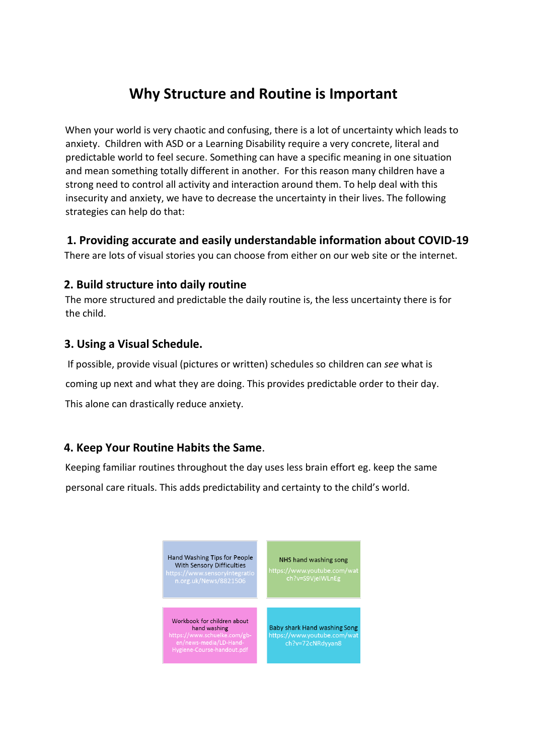# **Why Structure and Routine is Important**

When your world is very chaotic and confusing, there is a lot of uncertainty which leads to anxiety. Children with ASD or a Learning Disability require a very concrete, literal and predictable world to feel secure. Something can have a specific meaning in one situation and mean something totally different in another. For this reason many children have a strong need to control all activity and interaction around them. To help deal with this insecurity and anxiety, we have to decrease the uncertainty in their lives. The following strategies can help do that:

#### **1. Providing accurate and easily understandable information about COVID-19**

There are lots of visual stories you can choose from either on our web site or the internet.

#### **2. Build structure into daily routine**

The more structured and predictable the daily routine is, the less uncertainty there is for the child.

#### **3. Using a Visual Schedule.**

If possible, provide visual (pictures or written) schedules so children can *see* what is coming up next and what they are doing. This provides predictable order to their day. This alone can drastically reduce anxiety.

## **4. Keep Your Routine Habits the Same**.

Keeping familiar routines throughout the day uses less brain effort eg. keep the same personal care rituals. This adds predictability and certainty to the child's world.

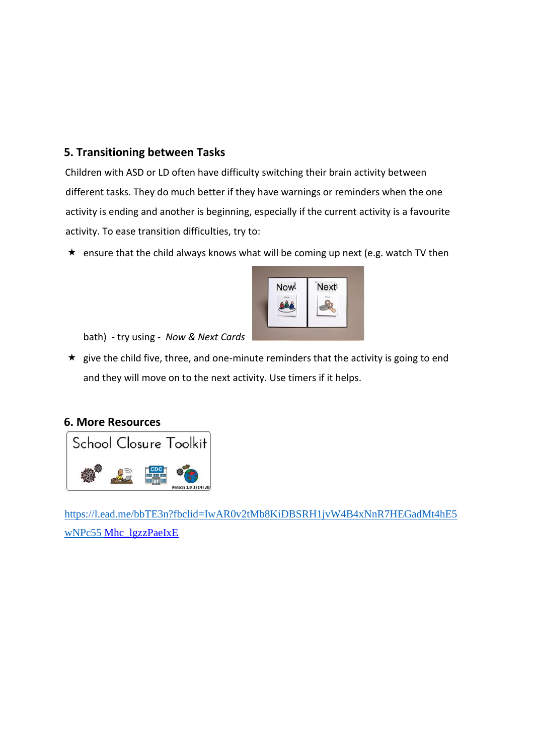### **5. Transitioning between Tasks**

Children with ASD or LD often have difficulty switching their brain activity between different tasks. They do much better if they have warnings or reminders when the one activity is ending and another is beginning, especially if the current activity is a favourite activity. To ease transition difficulties, try to:

 $\star$  ensure that the child always knows what will be coming up next (e.g. watch TV then



bath) - try using - *Now & Next Cards* 

 $\star$  give the child five, three, and one-minute reminders that the activity is going to end and they will move on to the next activity. Use timers if it helps.





[https://l.ead.me/bbTE3n?fbclid=IwAR0v2tMb8KiDBSRH1jvW4B4xNnR7HEGadMt4hE5](https://l.ead.me/bbTE3n?fbclid=IwAR0v2tMb8KiDBSRH1jvW4B4xNnR7HEGadMt4hE5wNPc55%20) [wNPc55](https://l.ead.me/bbTE3n?fbclid=IwAR0v2tMb8KiDBSRH1jvW4B4xNnR7HEGadMt4hE5wNPc55%20) [Mhc\\_lgzzPaeIxE](https://l.ead.me/bbTE3n?fbclid=IwAR0v2tMb8KiDBSRH1jvW4B4xNnR7HEGadMt4hE5wNPc55Mhc_lgzzPaeIxE)